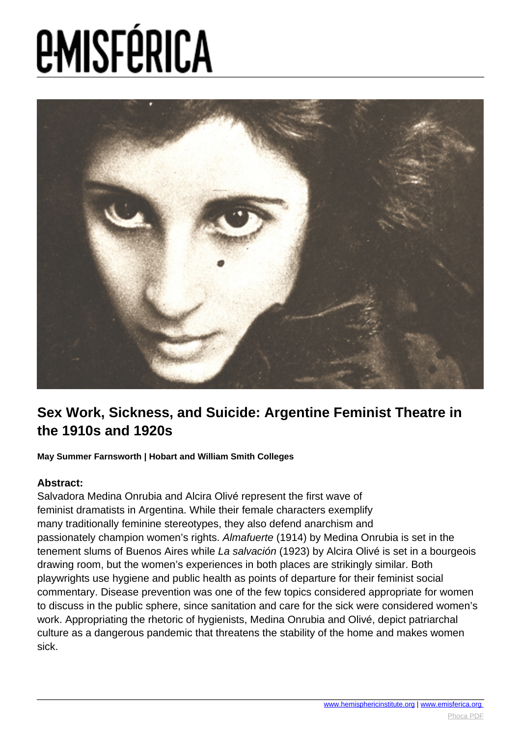

#### **Sex Work, Sickness, and Suicide: Argentine Feminist Theatre in the 1910s and 1920s**

**May Summer Farnsworth | Hobart and William Smith Colleges**

#### **Abstract:**

Salvadora Medina Onrubia and Alcira Olivé represent the first wave of feminist dramatists in Argentina. While their female characters exemplify many traditionally feminine stereotypes, they also defend anarchism and passionately champion women's rights. Almafuerte (1914) by Medina Onrubia is set in the tenement slums of Buenos Aires while La salvación (1923) by Alcira Olivé is set in a bourgeois drawing room, but the women's experiences in both places are strikingly similar. Both playwrights use hygiene and public health as points of departure for their feminist social commentary. Disease prevention was one of the few topics considered appropriate for women to discuss in the public sphere, since sanitation and care for the sick were considered women's work. Appropriating the rhetoric of hygienists, Medina Onrubia and Olivé, depict patriarchal culture as a dangerous pandemic that threatens the stability of the home and makes women sick.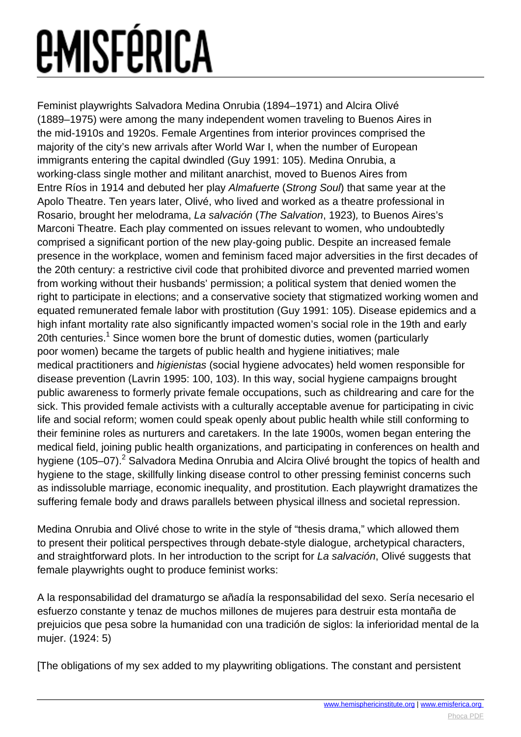Feminist playwrights Salvadora Medina Onrubia (1894–1971) and Alcira Olivé (1889–1975) were among the many independent women traveling to Buenos Aires in the mid-1910s and 1920s. Female Argentines from interior provinces comprised the majority of the city's new arrivals after World War I, when the number of European immigrants entering the capital dwindled (Guy 1991: 105). Medina Onrubia, a working-class single mother and militant anarchist, moved to Buenos Aires from Entre Ríos in 1914 and debuted her play Almafuerte (Strong Soul) that same year at the Apolo Theatre. Ten years later, Olivé, who lived and worked as a theatre professional in Rosario, brought her melodrama, La salvación (The Salvation, 1923), to Buenos Aires's Marconi Theatre. Each play commented on issues relevant to women, who undoubtedly comprised a significant portion of the new play-going public. Despite an increased female presence in the workplace, women and feminism faced major adversities in the first decades of the 20th century: a restrictive civil code that prohibited divorce and prevented married women from working without their husbands' permission; a political system that denied women the right to participate in elections; and a conservative society that stigmatized working women and equated remunerated female labor with prostitution (Guy 1991: 105). Disease epidemics and a high infant mortality rate also significantly impacted women's social role in the 19th and early 20th centuries.<sup>1</sup> Since women bore the brunt of domestic duties, women (particularly poor women) became the targets of public health and hygiene initiatives; male medical practitioners and higienistas (social hygiene advocates) held women responsible for disease prevention (Lavrin 1995: 100, 103). In this way, social hygiene campaigns brought public awareness to formerly private female occupations, such as childrearing and care for the sick. This provided female activists with a culturally acceptable avenue for participating in civic life and social reform; women could speak openly about public health while still conforming to their feminine roles as nurturers and caretakers. In the late 1900s, women began entering the medical field, joining public health organizations, and participating in conferences on health and hygiene (105–07).<sup>2</sup> Salvadora Medina Onrubia and Alcira Olivé brought the topics of health and hygiene to the stage, skillfully linking disease control to other pressing feminist concerns such as indissoluble marriage, economic inequality, and prostitution. Each playwright dramatizes the suffering female body and draws parallels between physical illness and societal repression.

Medina Onrubia and Olivé chose to write in the style of "thesis drama," which allowed them to present their political perspectives through debate-style dialogue, archetypical characters, and straightforward plots. In her introduction to the script for La salvación, Olivé suggests that female playwrights ought to produce feminist works:

A la responsabilidad del dramaturgo se añadía la responsabilidad del sexo. Sería necesario el esfuerzo constante y tenaz de muchos millones de mujeres para destruir esta montaña de prejuicios que pesa sobre la humanidad con una tradición de siglos: la inferioridad mental de la mujer. (1924: 5)

[The obligations of my sex added to my playwriting obligations. The constant and persistent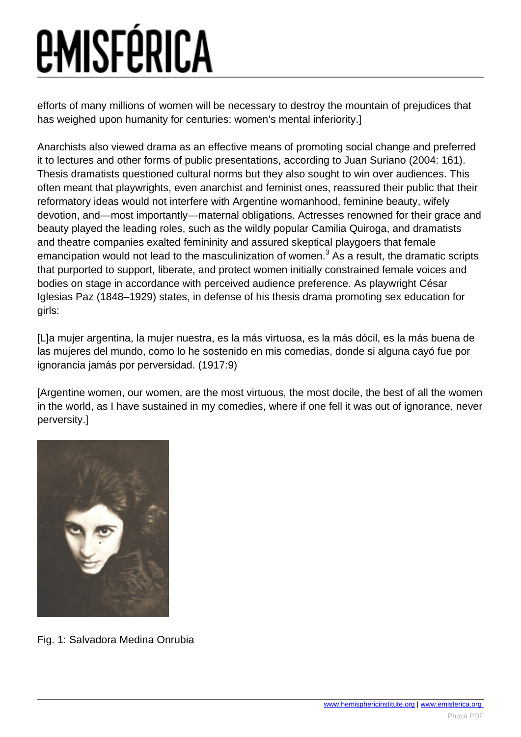efforts of many millions of women will be necessary to destroy the mountain of prejudices that has weighed upon humanity for centuries: women's mental inferiority.]

Anarchists also viewed drama as an effective means of promoting social change and preferred it to lectures and other forms of public presentations, according to Juan Suriano (2004: 161). Thesis dramatists questioned cultural norms but they also sought to win over audiences. This often meant that playwrights, even anarchist and feminist ones, reassured their public that their reformatory ideas would not interfere with Argentine womanhood, feminine beauty, wifely devotion, and—most importantly—maternal obligations. Actresses renowned for their grace and beauty played the leading roles, such as the wildly popular Camilia Quiroga, and dramatists and theatre companies exalted femininity and assured skeptical playgoers that female emancipation would not lead to the masculinization of women.<sup>3</sup> As a result, the dramatic scripts that purported to support, liberate, and protect women initially constrained female voices and bodies on stage in accordance with perceived audience preference. As playwright César Iglesias Paz (1848–1929) states, in defense of his thesis drama promoting sex education for girls:

[L]a mujer argentina, la mujer nuestra, es la más virtuosa, es la más dócil, es la más buena de las mujeres del mundo, como lo he sostenido en mis comedias, donde si alguna cayó fue por ignorancia jamás por perversidad. (1917:9)

[Argentine women, our women, are the most virtuous, the most docile, the best of all the women in the world, as I have sustained in my comedies, where if one fell it was out of ignorance, never perversity.]



Fig. 1: Salvadora Medina Onrubia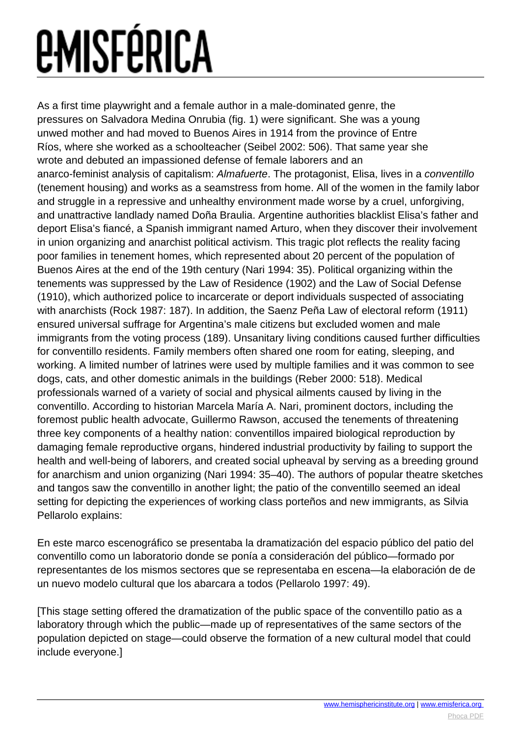As a first time playwright and a female author in a male-dominated genre, the pressures on Salvadora Medina Onrubia (fig. 1) were significant. She was a young unwed mother and had moved to Buenos Aires in 1914 from the province of Entre Ríos, where she worked as a schoolteacher (Seibel 2002: 506). That same year she wrote and debuted an impassioned defense of female laborers and an anarco-feminist analysis of capitalism: Almafuerte. The protagonist, Elisa, lives in a conventillo (tenement housing) and works as a seamstress from home. All of the women in the family labor and struggle in a repressive and unhealthy environment made worse by a cruel, unforgiving, and unattractive landlady named Doña Braulia. Argentine authorities blacklist Elisa's father and deport Elisa's fiancé, a Spanish immigrant named Arturo, when they discover their involvement in union organizing and anarchist political activism. This tragic plot reflects the reality facing poor families in tenement homes, which represented about 20 percent of the population of Buenos Aires at the end of the 19th century (Nari 1994: 35). Political organizing within the tenements was suppressed by the Law of Residence (1902) and the Law of Social Defense (1910), which authorized police to incarcerate or deport individuals suspected of associating with anarchists (Rock 1987: 187). In addition, the Saenz Peña Law of electoral reform (1911) ensured universal suffrage for Argentina's male citizens but excluded women and male immigrants from the voting process (189). Unsanitary living conditions caused further difficulties for conventillo residents. Family members often shared one room for eating, sleeping, and working. A limited number of latrines were used by multiple families and it was common to see dogs, cats, and other domestic animals in the buildings (Reber 2000: 518). Medical professionals warned of a variety of social and physical ailments caused by living in the conventillo. According to historian Marcela María A. Nari, prominent doctors, including the foremost public health advocate, Guillermo Rawson, accused the tenements of threatening three key components of a healthy nation: conventillos impaired biological reproduction by damaging female reproductive organs, hindered industrial productivity by failing to support the health and well-being of laborers, and created social upheaval by serving as a breeding ground for anarchism and union organizing (Nari 1994: 35–40). The authors of popular theatre sketches and tangos saw the conventillo in another light; the patio of the conventillo seemed an ideal setting for depicting the experiences of working class porteños and new immigrants, as Silvia Pellarolo explains:

En este marco escenográfico se presentaba la dramatización del espacio público del patio del conventillo como un laboratorio donde se ponía a consideración del público—formado por representantes de los mismos sectores que se representaba en escena—la elaboración de de un nuevo modelo cultural que los abarcara a todos (Pellarolo 1997: 49).

[This stage setting offered the dramatization of the public space of the conventillo patio as a laboratory through which the public—made up of representatives of the same sectors of the population depicted on stage—could observe the formation of a new cultural model that could include everyone.]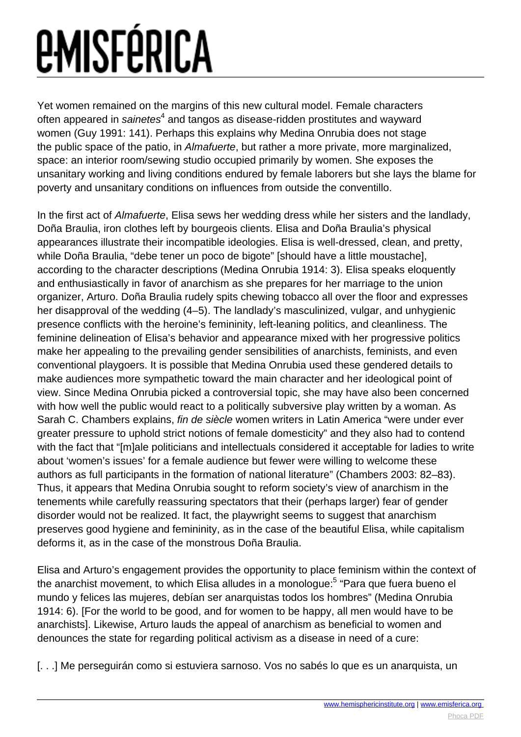Yet women remained on the margins of this new cultural model. Female characters often appeared in *sainetes* $^4$  and tangos as disease-ridden prostitutes and wayward women (Guy 1991: 141). Perhaps this explains why Medina Onrubia does not stage the public space of the patio, in Almafuerte, but rather a more private, more marginalized, space: an interior room/sewing studio occupied primarily by women. She exposes the unsanitary working and living conditions endured by female laborers but she lays the blame for poverty and unsanitary conditions on influences from outside the conventillo.

In the first act of Almafuerte, Elisa sews her wedding dress while her sisters and the landlady, Doña Braulia, iron clothes left by bourgeois clients. Elisa and Doña Braulia's physical appearances illustrate their incompatible ideologies. Elisa is well-dressed, clean, and pretty, while Doña Braulia, "debe tener un poco de bigote" [should have a little moustache], according to the character descriptions (Medina Onrubia 1914: 3). Elisa speaks eloquently and enthusiastically in favor of anarchism as she prepares for her marriage to the union organizer, Arturo. Doña Braulia rudely spits chewing tobacco all over the floor and expresses her disapproval of the wedding (4–5). The landlady's masculinized, vulgar, and unhygienic presence conflicts with the heroine's femininity, left-leaning politics, and cleanliness. The feminine delineation of Elisa's behavior and appearance mixed with her progressive politics make her appealing to the prevailing gender sensibilities of anarchists, feminists, and even conventional playgoers. It is possible that Medina Onrubia used these gendered details to make audiences more sympathetic toward the main character and her ideological point of view. Since Medina Onrubia picked a controversial topic, she may have also been concerned with how well the public would react to a politically subversive play written by a woman. As Sarah C. Chambers explains, fin de siècle women writers in Latin America "were under ever greater pressure to uphold strict notions of female domesticity" and they also had to contend with the fact that "[m]ale politicians and intellectuals considered it acceptable for ladies to write about 'women's issues' for a female audience but fewer were willing to welcome these authors as full participants in the formation of national literature" (Chambers 2003: 82–83). Thus, it appears that Medina Onrubia sought to reform society's view of anarchism in the tenements while carefully reassuring spectators that their (perhaps larger) fear of gender disorder would not be realized. It fact, the playwright seems to suggest that anarchism preserves good hygiene and femininity, as in the case of the beautiful Elisa, while capitalism deforms it, as in the case of the monstrous Doña Braulia.

Elisa and Arturo's engagement provides the opportunity to place feminism within the context of the anarchist movement, to which Elisa alludes in a monologue:<sup>5</sup> "Para que fuera bueno el mundo y felices las mujeres, debían ser anarquistas todos los hombres" (Medina Onrubia 1914: 6). [For the world to be good, and for women to be happy, all men would have to be anarchists]. Likewise, Arturo lauds the appeal of anarchism as beneficial to women and denounces the state for regarding political activism as a disease in need of a cure:

[...] Me perseguirán como si estuviera sarnoso. Vos no sabés lo que es un anarquista, un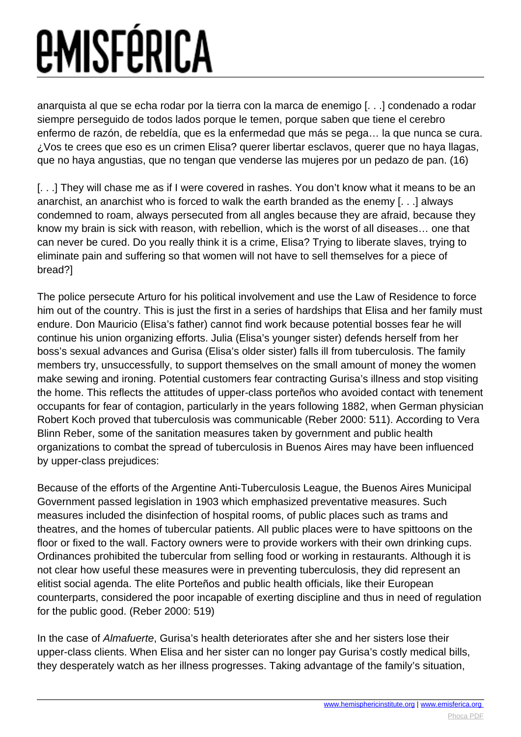anarquista al que se echa rodar por la tierra con la marca de enemigo [. . .] condenado a rodar siempre perseguido de todos lados porque le temen, porque saben que tiene el cerebro enfermo de razón, de rebeldía, que es la enfermedad que más se pega… la que nunca se cura. ¿Vos te crees que eso es un crimen Elisa? querer libertar esclavos, querer que no haya llagas, que no haya angustias, que no tengan que venderse las mujeres por un pedazo de pan. (16)

[...] They will chase me as if I were covered in rashes. You don't know what it means to be an anarchist, an anarchist who is forced to walk the earth branded as the enemy [. . .] always condemned to roam, always persecuted from all angles because they are afraid, because they know my brain is sick with reason, with rebellion, which is the worst of all diseases… one that can never be cured. Do you really think it is a crime, Elisa? Trying to liberate slaves, trying to eliminate pain and suffering so that women will not have to sell themselves for a piece of bread?]

The police persecute Arturo for his political involvement and use the Law of Residence to force him out of the country. This is just the first in a series of hardships that Elisa and her family must endure. Don Mauricio (Elisa's father) cannot find work because potential bosses fear he will continue his union organizing efforts. Julia (Elisa's younger sister) defends herself from her boss's sexual advances and Gurisa (Elisa's older sister) falls ill from tuberculosis. The family members try, unsuccessfully, to support themselves on the small amount of money the women make sewing and ironing. Potential customers fear contracting Gurisa's illness and stop visiting the home. This reflects the attitudes of upper-class porteños who avoided contact with tenement occupants for fear of contagion, particularly in the years following 1882, when German physician Robert Koch proved that tuberculosis was communicable (Reber 2000: 511). According to Vera Blinn Reber, some of the sanitation measures taken by government and public health organizations to combat the spread of tuberculosis in Buenos Aires may have been influenced by upper-class prejudices:

Because of the efforts of the Argentine Anti-Tuberculosis League, the Buenos Aires Municipal Government passed legislation in 1903 which emphasized preventative measures. Such measures included the disinfection of hospital rooms, of public places such as trams and theatres, and the homes of tubercular patients. All public places were to have spittoons on the floor or fixed to the wall. Factory owners were to provide workers with their own drinking cups. Ordinances prohibited the tubercular from selling food or working in restaurants. Although it is not clear how useful these measures were in preventing tuberculosis, they did represent an elitist social agenda. The elite Porteños and public health officials, like their European counterparts, considered the poor incapable of exerting discipline and thus in need of regulation for the public good. (Reber 2000: 519)

In the case of Almafuerte, Gurisa's health deteriorates after she and her sisters lose their upper-class clients. When Elisa and her sister can no longer pay Gurisa's costly medical bills, they desperately watch as her illness progresses. Taking advantage of the family's situation,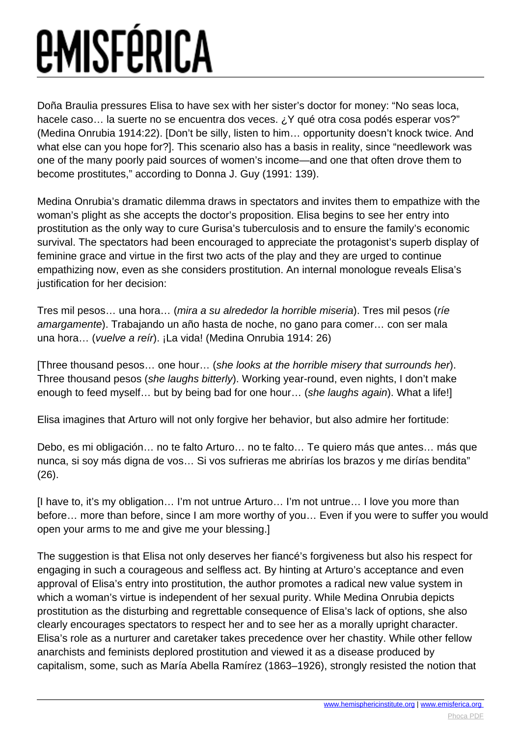Doña Braulia pressures Elisa to have sex with her sister's doctor for money: "No seas loca, hacele caso... la suerte no se encuentra dos veces. ¿Y qué otra cosa podés esperar vos?" (Medina Onrubia 1914:22). [Don't be silly, listen to him… opportunity doesn't knock twice. And what else can you hope for?]. This scenario also has a basis in reality, since "needlework was one of the many poorly paid sources of women's income—and one that often drove them to become prostitutes," according to Donna J. Guy (1991: 139).

Medina Onrubia's dramatic dilemma draws in spectators and invites them to empathize with the woman's plight as she accepts the doctor's proposition. Elisa begins to see her entry into prostitution as the only way to cure Gurisa's tuberculosis and to ensure the family's economic survival. The spectators had been encouraged to appreciate the protagonist's superb display of feminine grace and virtue in the first two acts of the play and they are urged to continue empathizing now, even as she considers prostitution. An internal monologue reveals Elisa's justification for her decision:

Tres mil pesos… una hora… (mira a su alrededor la horrible miseria). Tres mil pesos (ríe amargamente). Trabajando un año hasta de noche, no gano para comer… con ser mala una hora... (vuelve a reír). ¡La vida! (Medina Onrubia 1914: 26)

[Three thousand pesos… one hour… (she looks at the horrible misery that surrounds her). Three thousand pesos (she laughs bitterly). Working year-round, even nights, I don't make enough to feed myself... but by being bad for one hour... (she laughs again). What a life!]

Elisa imagines that Arturo will not only forgive her behavior, but also admire her fortitude:

Debo, es mi obligación… no te falto Arturo… no te falto… Te quiero más que antes… más que nunca, si soy más digna de vos… Si vos sufrieras me abrirías los brazos y me dirías bendita" (26).

[I have to, it's my obligation… I'm not untrue Arturo… I'm not untrue… I love you more than before… more than before, since I am more worthy of you… Even if you were to suffer you would open your arms to me and give me your blessing.]

The suggestion is that Elisa not only deserves her fiancé's forgiveness but also his respect for engaging in such a courageous and selfless act. By hinting at Arturo's acceptance and even approval of Elisa's entry into prostitution, the author promotes a radical new value system in which a woman's virtue is independent of her sexual purity. While Medina Onrubia depicts prostitution as the disturbing and regrettable consequence of Elisa's lack of options, she also clearly encourages spectators to respect her and to see her as a morally upright character. Elisa's role as a nurturer and caretaker takes precedence over her chastity. While other fellow anarchists and feminists deplored prostitution and viewed it as a disease produced by capitalism, some, such as María Abella Ramírez (1863–1926), strongly resisted the notion that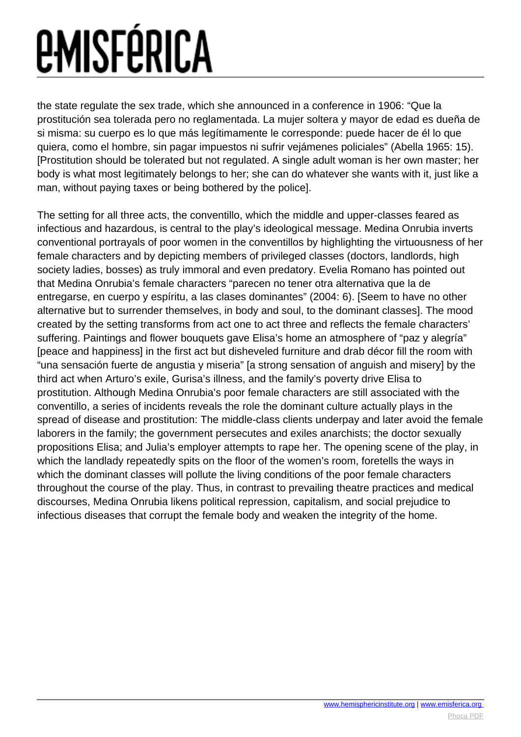the state regulate the sex trade, which she announced in a conference in 1906: "Que la prostitución sea tolerada pero no reglamentada. La mujer soltera y mayor de edad es dueña de si misma: su cuerpo es lo que más legítimamente le corresponde: puede hacer de él lo que quiera, como el hombre, sin pagar impuestos ni sufrir vejámenes policiales" (Abella 1965: 15). [Prostitution should be tolerated but not regulated. A single adult woman is her own master; her body is what most legitimately belongs to her; she can do whatever she wants with it, just like a man, without paying taxes or being bothered by the police].

The setting for all three acts, the conventillo, which the middle and upper-classes feared as infectious and hazardous, is central to the play's ideological message. Medina Onrubia inverts conventional portrayals of poor women in the conventillos by highlighting the virtuousness of her female characters and by depicting members of privileged classes (doctors, landlords, high society ladies, bosses) as truly immoral and even predatory. Evelia Romano has pointed out that Medina Onrubia's female characters "parecen no tener otra alternativa que la de entregarse, en cuerpo y espíritu, a las clases dominantes" (2004: 6). [Seem to have no other alternative but to surrender themselves, in body and soul, to the dominant classes]. The mood created by the setting transforms from act one to act three and reflects the female characters' suffering. Paintings and flower bouquets gave Elisa's home an atmosphere of "paz y alegría" [peace and happiness] in the first act but disheveled furniture and drab décor fill the room with "una sensación fuerte de angustia y miseria" [a strong sensation of anguish and misery] by the third act when Arturo's exile, Gurisa's illness, and the family's poverty drive Elisa to prostitution. Although Medina Onrubia's poor female characters are still associated with the conventillo, a series of incidents reveals the role the dominant culture actually plays in the spread of disease and prostitution: The middle-class clients underpay and later avoid the female laborers in the family; the government persecutes and exiles anarchists; the doctor sexually propositions Elisa; and Julia's employer attempts to rape her. The opening scene of the play, in which the landlady repeatedly spits on the floor of the women's room, foretells the ways in which the dominant classes will pollute the living conditions of the poor female characters throughout the course of the play. Thus, in contrast to prevailing theatre practices and medical discourses, Medina Onrubia likens political repression, capitalism, and social prejudice to infectious diseases that corrupt the female body and weaken the integrity of the home.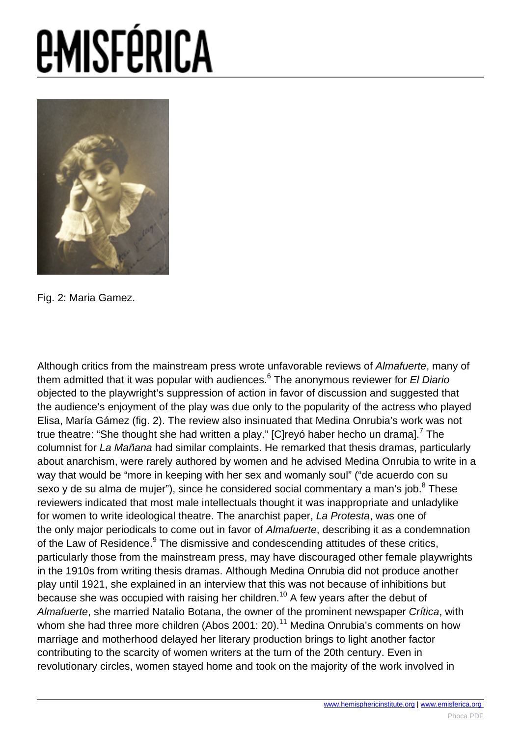

Fig. 2: Maria Gamez.

Although critics from the mainstream press wrote unfavorable reviews of Almafuerte, many of them admitted that it was popular with audiences.<sup>6</sup> The anonymous reviewer for *El Diario* objected to the playwright's suppression of action in favor of discussion and suggested that the audience's enjoyment of the play was due only to the popularity of the actress who played Elisa, María Gámez (fig. 2). The review also insinuated that Medina Onrubia's work was not true theatre: "She thought she had written a play." [C]reyó haber hecho un drama].<sup>7</sup> The columnist for La Mañana had similar complaints. He remarked that thesis dramas, particularly about anarchism, were rarely authored by women and he advised Medina Onrubia to write in a way that would be "more in keeping with her sex and womanly soul" ("de acuerdo con su sexo y de su alma de mujer"), since he considered social commentary a man's job.<sup>8</sup> These reviewers indicated that most male intellectuals thought it was inappropriate and unladylike for women to write ideological theatre. The anarchist paper, La Protesta, was one of the only major periodicals to come out in favor of Almafuerte, describing it as a condemnation of the Law of Residence.<sup>9</sup> The dismissive and condescending attitudes of these critics, particularly those from the mainstream press, may have discouraged other female playwrights in the 1910s from writing thesis dramas. Although Medina Onrubia did not produce another play until 1921, she explained in an interview that this was not because of inhibitions but because she was occupied with raising her children.<sup>10</sup> A few years after the debut of Almafuerte, she married Natalio Botana, the owner of the prominent newspaper Crítica, with whom she had three more children (Abos 2001: 20).<sup>11</sup> Medina Onrubia's comments on how marriage and motherhood delayed her literary production brings to light another factor contributing to the scarcity of women writers at the turn of the 20th century. Even in revolutionary circles, women stayed home and took on the majority of the work involved in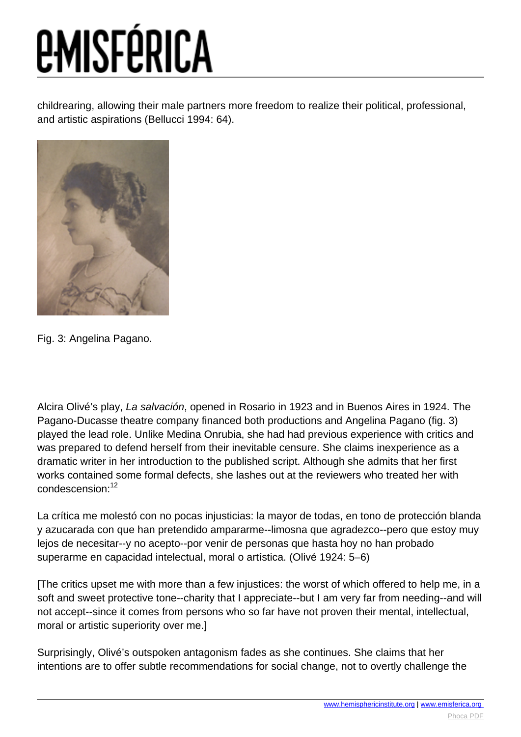childrearing, allowing their male partners more freedom to realize their political, professional, and artistic aspirations (Bellucci 1994: 64).



Fig. 3: Angelina Pagano.

Alcira Olivé's play, La salvación, opened in Rosario in 1923 and in Buenos Aires in 1924. The Pagano-Ducasse theatre company financed both productions and Angelina Pagano (fig. 3) played the lead role. Unlike Medina Onrubia, she had had previous experience with critics and was prepared to defend herself from their inevitable censure. She claims inexperience as a dramatic writer in her introduction to the published script. Although she admits that her first works contained some formal defects, she lashes out at the reviewers who treated her with condescension:<sup>12</sup>

La crítica me molestó con no pocas injusticias: la mayor de todas, en tono de protección blanda y azucarada con que han pretendido ampararme--limosna que agradezco--pero que estoy muy lejos de necesitar--y no acepto--por venir de personas que hasta hoy no han probado superarme en capacidad intelectual, moral o artística. (Olivé 1924: 5–6)

[The critics upset me with more than a few injustices: the worst of which offered to help me, in a soft and sweet protective tone--charity that I appreciate--but I am very far from needing--and will not accept--since it comes from persons who so far have not proven their mental, intellectual, moral or artistic superiority over me.]

Surprisingly, Olivé's outspoken antagonism fades as she continues. She claims that her intentions are to offer subtle recommendations for social change, not to overtly challenge the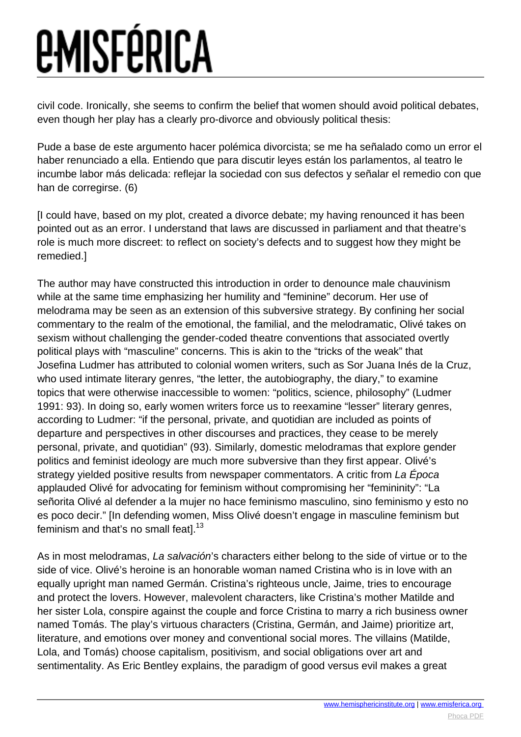civil code. Ironically, she seems to confirm the belief that women should avoid political debates, even though her play has a clearly pro-divorce and obviously political thesis:

Pude a base de este argumento hacer polémica divorcista; se me ha señalado como un error el haber renunciado a ella. Entiendo que para discutir leyes están los parlamentos, al teatro le incumbe labor más delicada: reflejar la sociedad con sus defectos y señalar el remedio con que han de corregirse. (6)

[I could have, based on my plot, created a divorce debate; my having renounced it has been pointed out as an error. I understand that laws are discussed in parliament and that theatre's role is much more discreet: to reflect on society's defects and to suggest how they might be remedied.]

The author may have constructed this introduction in order to denounce male chauvinism while at the same time emphasizing her humility and "feminine" decorum. Her use of melodrama may be seen as an extension of this subversive strategy. By confining her social commentary to the realm of the emotional, the familial, and the melodramatic, Olivé takes on sexism without challenging the gender-coded theatre conventions that associated overtly political plays with "masculine" concerns. This is akin to the "tricks of the weak" that Josefina Ludmer has attributed to colonial women writers, such as Sor Juana Inés de la Cruz, who used intimate literary genres, "the letter, the autobiography, the diary," to examine topics that were otherwise inaccessible to women: "politics, science, philosophy" (Ludmer 1991: 93). In doing so, early women writers force us to reexamine "lesser" literary genres, according to Ludmer: "if the personal, private, and quotidian are included as points of departure and perspectives in other discourses and practices, they cease to be merely personal, private, and quotidian" (93). Similarly, domestic melodramas that explore gender politics and feminist ideology are much more subversive than they first appear. Olivé's strategy yielded positive results from newspaper commentators. A critic from La Época applauded Olivé for advocating for feminism without compromising her "femininity": "La señorita Olivé al defender a la mujer no hace feminismo masculino, sino feminismo y esto no es poco decir." [In defending women, Miss Olivé doesn't engage in masculine feminism but feminism and that's no small featl. $13$ 

As in most melodramas, La salvación's characters either belong to the side of virtue or to the side of vice. Olivé's heroine is an honorable woman named Cristina who is in love with an equally upright man named Germán. Cristina's righteous uncle, Jaime, tries to encourage and protect the lovers. However, malevolent characters, like Cristina's mother Matilde and her sister Lola, conspire against the couple and force Cristina to marry a rich business owner named Tomás. The play's virtuous characters (Cristina, Germán, and Jaime) prioritize art, literature, and emotions over money and conventional social mores. The villains (Matilde, Lola, and Tomás) choose capitalism, positivism, and social obligations over art and sentimentality. As Eric Bentley explains, the paradigm of good versus evil makes a great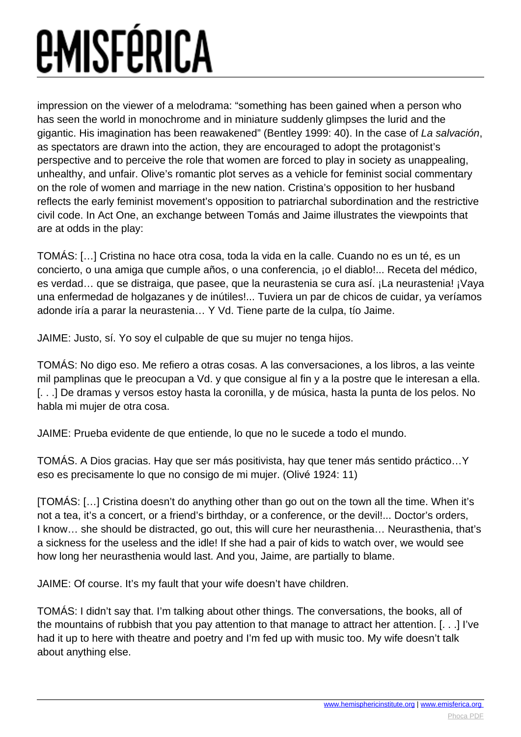impression on the viewer of a melodrama: "something has been gained when a person who has seen the world in monochrome and in miniature suddenly glimpses the lurid and the gigantic. His imagination has been reawakened" (Bentley 1999: 40). In the case of La salvación, as spectators are drawn into the action, they are encouraged to adopt the protagonist's perspective and to perceive the role that women are forced to play in society as unappealing, unhealthy, and unfair. Olive's romantic plot serves as a vehicle for feminist social commentary on the role of women and marriage in the new nation. Cristina's opposition to her husband reflects the early feminist movement's opposition to patriarchal subordination and the restrictive civil code. In Act One, an exchange between Tomás and Jaime illustrates the viewpoints that are at odds in the play:

TOMÁS: […] Cristina no hace otra cosa, toda la vida en la calle. Cuando no es un té, es un concierto, o una amiga que cumple años, o una conferencia, ¡o el diablo!... Receta del médico, es verdad… que se distraiga, que pasee, que la neurastenia se cura así. ¡La neurastenia! ¡Vaya una enfermedad de holgazanes y de inútiles!... Tuviera un par de chicos de cuidar, ya veríamos adonde iría a parar la neurastenia… Y Vd. Tiene parte de la culpa, tío Jaime.

JAIME: Justo, sí. Yo soy el culpable de que su mujer no tenga hijos.

TOMÁS: No digo eso. Me refiero a otras cosas. A las conversaciones, a los libros, a las veinte mil pamplinas que le preocupan a Vd. y que consigue al fin y a la postre que le interesan a ella. [. . .] De dramas y versos estoy hasta la coronilla, y de música, hasta la punta de los pelos. No habla mi mujer de otra cosa.

JAIME: Prueba evidente de que entiende, lo que no le sucede a todo el mundo.

TOMÁS. A Dios gracias. Hay que ser más positivista, hay que tener más sentido práctico…Y eso es precisamente lo que no consigo de mi mujer. (Olivé 1924: 11)

[TOMÁS: […] Cristina doesn't do anything other than go out on the town all the time. When it's not a tea, it's a concert, or a friend's birthday, or a conference, or the devil!... Doctor's orders, I know… she should be distracted, go out, this will cure her neurasthenia… Neurasthenia, that's a sickness for the useless and the idle! If she had a pair of kids to watch over, we would see how long her neurasthenia would last. And you, Jaime, are partially to blame.

JAIME: Of course. It's my fault that your wife doesn't have children.

TOMÁS: I didn't say that. I'm talking about other things. The conversations, the books, all of the mountains of rubbish that you pay attention to that manage to attract her attention. [. . .] I've had it up to here with theatre and poetry and I'm fed up with music too. My wife doesn't talk about anything else.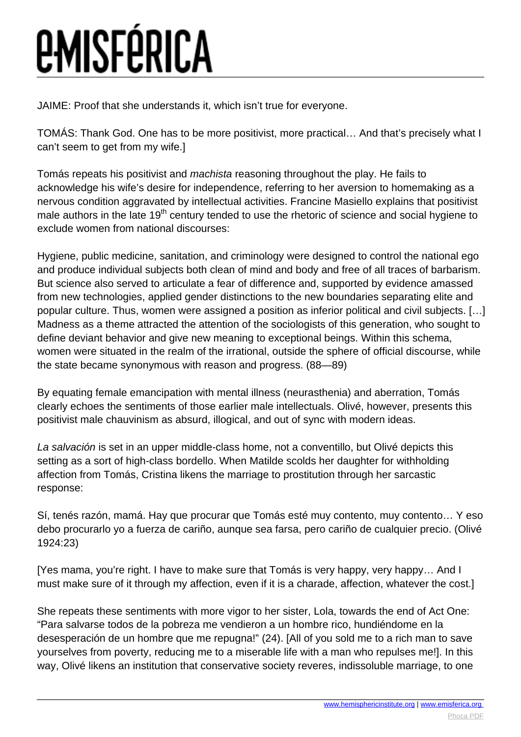JAIME: Proof that she understands it, which isn't true for everyone.

TOMÁS: Thank God. One has to be more positivist, more practical… And that's precisely what I can't seem to get from my wife.]

Tomás repeats his positivist and machista reasoning throughout the play. He fails to acknowledge his wife's desire for independence, referring to her aversion to homemaking as a nervous condition aggravated by intellectual activities. Francine Masiello explains that positivist male authors in the late 19<sup>th</sup> century tended to use the rhetoric of science and social hygiene to exclude women from national discourses:

Hygiene, public medicine, sanitation, and criminology were designed to control the national ego and produce individual subjects both clean of mind and body and free of all traces of barbarism. But science also served to articulate a fear of difference and, supported by evidence amassed from new technologies, applied gender distinctions to the new boundaries separating elite and popular culture. Thus, women were assigned a position as inferior political and civil subjects. […] Madness as a theme attracted the attention of the sociologists of this generation, who sought to define deviant behavior and give new meaning to exceptional beings. Within this schema, women were situated in the realm of the irrational, outside the sphere of official discourse, while the state became synonymous with reason and progress. (88—89)

By equating female emancipation with mental illness (neurasthenia) and aberration, Tomás clearly echoes the sentiments of those earlier male intellectuals. Olivé, however, presents this positivist male chauvinism as absurd, illogical, and out of sync with modern ideas.

La salvación is set in an upper middle-class home, not a conventillo, but Olivé depicts this setting as a sort of high-class bordello. When Matilde scolds her daughter for withholding affection from Tomás, Cristina likens the marriage to prostitution through her sarcastic response:

Sí, tenés razón, mamá. Hay que procurar que Tomás esté muy contento, muy contento… Y eso debo procurarlo yo a fuerza de cariño, aunque sea farsa, pero cariño de cualquier precio. (Olivé 1924:23)

[Yes mama, you're right. I have to make sure that Tomás is very happy, very happy… And I must make sure of it through my affection, even if it is a charade, affection, whatever the cost.]

She repeats these sentiments with more vigor to her sister, Lola, towards the end of Act One: "Para salvarse todos de la pobreza me vendieron a un hombre rico, hundiéndome en la desesperación de un hombre que me repugna!" (24). [All of you sold me to a rich man to save yourselves from poverty, reducing me to a miserable life with a man who repulses me!]. In this way, Olivé likens an institution that conservative society reveres, indissoluble marriage, to one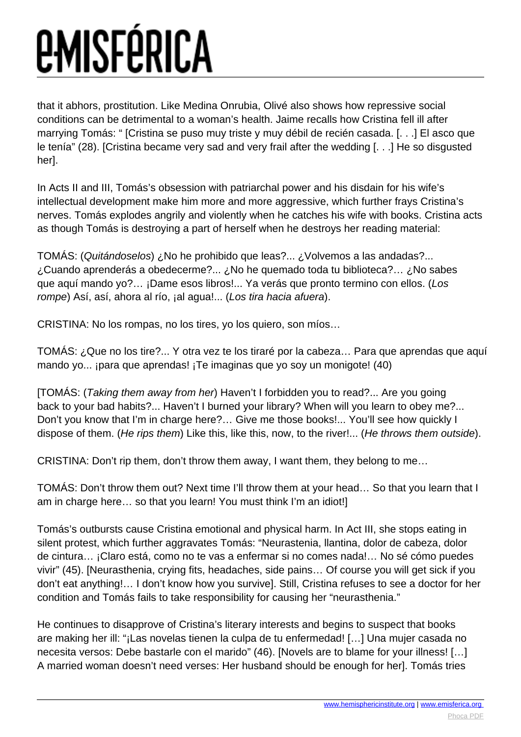that it abhors, prostitution. Like Medina Onrubia, Olivé also shows how repressive social conditions can be detrimental to a woman's health. Jaime recalls how Cristina fell ill after marrying Tomás: " [Cristina se puso muy triste y muy débil de recién casada. [. . .] El asco que le tenía" (28). [Cristina became very sad and very frail after the wedding [. . .] He so disgusted her].

In Acts II and III, Tomás's obsession with patriarchal power and his disdain for his wife's intellectual development make him more and more aggressive, which further frays Cristina's nerves. Tomás explodes angrily and violently when he catches his wife with books. Cristina acts as though Tomás is destroying a part of herself when he destroys her reading material:

TOMÁS: (Quitándoselos) ¿No he prohibido que leas?... ¿Volvemos a las andadas?... ¿Cuando aprenderás a obedecerme?... ¿No he quemado toda tu biblioteca?… ¿No sabes que aquí mando yo?… ¡Dame esos libros!... Ya verás que pronto termino con ellos. (Los rompe) Así, así, ahora al río, ¡al agua!... (Los tira hacia afuera).

CRISTINA: No los rompas, no los tires, yo los quiero, son míos…

TOMÁS: ¿Que no los tire?... Y otra vez te los tiraré por la cabeza… Para que aprendas que aquí mando yo... ¡para que aprendas! ¡Te imaginas que yo soy un monigote! (40)

[TOMÁS: (Taking them away from her) Haven't I forbidden you to read?... Are you going back to your bad habits?... Haven't I burned your library? When will you learn to obey me?... Don't you know that I'm in charge here?… Give me those books!... You'll see how quickly I dispose of them. (He rips them) Like this, like this, now, to the river!... (He throws them outside).

CRISTINA: Don't rip them, don't throw them away, I want them, they belong to me…

TOMÁS: Don't throw them out? Next time I'll throw them at your head… So that you learn that I am in charge here… so that you learn! You must think I'm an idiot!]

Tomás's outbursts cause Cristina emotional and physical harm. In Act III, she stops eating in silent protest, which further aggravates Tomás: "Neurastenia, llantina, dolor de cabeza, dolor de cintura… ¡Claro está, como no te vas a enfermar si no comes nada!… No sé cómo puedes vivir" (45). [Neurasthenia, crying fits, headaches, side pains… Of course you will get sick if you don't eat anything!… I don't know how you survive]. Still, Cristina refuses to see a doctor for her condition and Tomás fails to take responsibility for causing her "neurasthenia."

He continues to disapprove of Cristina's literary interests and begins to suspect that books are making her ill: "¡Las novelas tienen la culpa de tu enfermedad! […] Una mujer casada no necesita versos: Debe bastarle con el marido" (46). [Novels are to blame for your illness! […] A married woman doesn't need verses: Her husband should be enough for her]. Tomás tries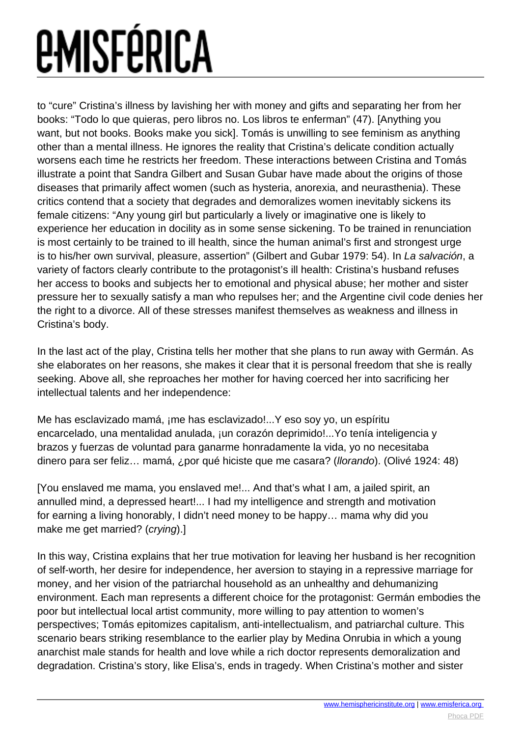to "cure" Cristina's illness by lavishing her with money and gifts and separating her from her books: "Todo lo que quieras, pero libros no. Los libros te enferman" (47). [Anything you want, but not books. Books make you sick]. Tomás is unwilling to see feminism as anything other than a mental illness. He ignores the reality that Cristina's delicate condition actually worsens each time he restricts her freedom. These interactions between Cristina and Tomás illustrate a point that Sandra Gilbert and Susan Gubar have made about the origins of those diseases that primarily affect women (such as hysteria, anorexia, and neurasthenia). These critics contend that a society that degrades and demoralizes women inevitably sickens its female citizens: "Any young girl but particularly a lively or imaginative one is likely to experience her education in docility as in some sense sickening. To be trained in renunciation is most certainly to be trained to ill health, since the human animal's first and strongest urge is to his/her own survival, pleasure, assertion" (Gilbert and Gubar 1979: 54). In La salvación, a variety of factors clearly contribute to the protagonist's ill health: Cristina's husband refuses her access to books and subjects her to emotional and physical abuse; her mother and sister pressure her to sexually satisfy a man who repulses her; and the Argentine civil code denies her the right to a divorce. All of these stresses manifest themselves as weakness and illness in Cristina's body.

In the last act of the play, Cristina tells her mother that she plans to run away with Germán. As she elaborates on her reasons, she makes it clear that it is personal freedom that she is really seeking. Above all, she reproaches her mother for having coerced her into sacrificing her intellectual talents and her independence:

Me has esclavizado mamá, ¡me has esclavizado!...Y eso soy yo, un espíritu encarcelado, una mentalidad anulada, ¡un corazón deprimido!...Yo tenía inteligencia y brazos y fuerzas de voluntad para ganarme honradamente la vida, yo no necesitaba dinero para ser feliz… mamá, ¿por qué hiciste que me casara? (llorando). (Olivé 1924: 48)

[You enslaved me mama, you enslaved me!... And that's what I am, a jailed spirit, an annulled mind, a depressed heart!... I had my intelligence and strength and motivation for earning a living honorably, I didn't need money to be happy… mama why did you make me get married? (crying).]

In this way, Cristina explains that her true motivation for leaving her husband is her recognition of self-worth, her desire for independence, her aversion to staying in a repressive marriage for money, and her vision of the patriarchal household as an unhealthy and dehumanizing environment. Each man represents a different choice for the protagonist: Germán embodies the poor but intellectual local artist community, more willing to pay attention to women's perspectives; Tomás epitomizes capitalism, anti-intellectualism, and patriarchal culture. This scenario bears striking resemblance to the earlier play by Medina Onrubia in which a young anarchist male stands for health and love while a rich doctor represents demoralization and degradation. Cristina's story, like Elisa's, ends in tragedy. When Cristina's mother and sister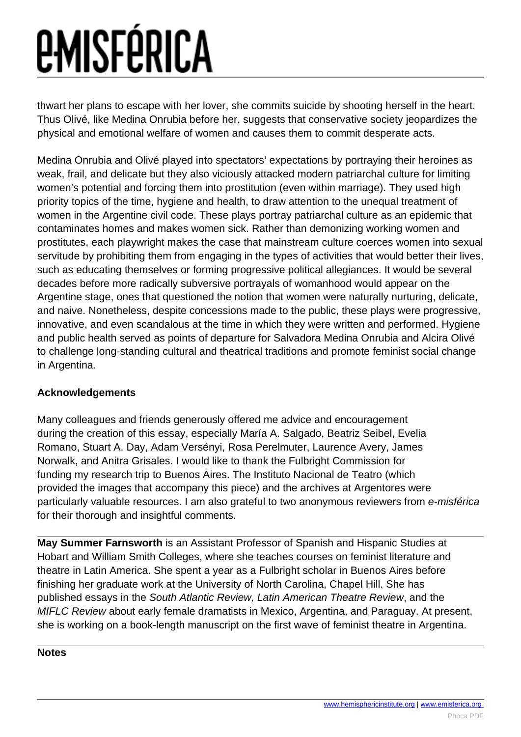thwart her plans to escape with her lover, she commits suicide by shooting herself in the heart. Thus Olivé, like Medina Onrubia before her, suggests that conservative society jeopardizes the physical and emotional welfare of women and causes them to commit desperate acts.

Medina Onrubia and Olivé played into spectators' expectations by portraying their heroines as weak, frail, and delicate but they also viciously attacked modern patriarchal culture for limiting women's potential and forcing them into prostitution (even within marriage). They used high priority topics of the time, hygiene and health, to draw attention to the unequal treatment of women in the Argentine civil code. These plays portray patriarchal culture as an epidemic that contaminates homes and makes women sick. Rather than demonizing working women and prostitutes, each playwright makes the case that mainstream culture coerces women into sexual servitude by prohibiting them from engaging in the types of activities that would better their lives, such as educating themselves or forming progressive political allegiances. It would be several decades before more radically subversive portrayals of womanhood would appear on the Argentine stage, ones that questioned the notion that women were naturally nurturing, delicate, and naive. Nonetheless, despite concessions made to the public, these plays were progressive, innovative, and even scandalous at the time in which they were written and performed. Hygiene and public health served as points of departure for Salvadora Medina Onrubia and Alcira Olivé to challenge long-standing cultural and theatrical traditions and promote feminist social change in Argentina.

#### **Acknowledgements**

Many colleagues and friends generously offered me advice and encouragement during the creation of this essay, especially María A. Salgado, Beatriz Seibel, Evelia Romano, Stuart A. Day, Adam Versényi, Rosa Perelmuter, Laurence Avery, James Norwalk, and Anitra Grisales. I would like to thank the Fulbright Commission for funding my research trip to Buenos Aires. The Instituto Nacional de Teatro (which provided the images that accompany this piece) and the archives at Argentores were particularly valuable resources. I am also grateful to two anonymous reviewers from e-misférica for their thorough and insightful comments.

**May Summer Farnsworth** is an Assistant Professor of Spanish and Hispanic Studies at Hobart and William Smith Colleges, where she teaches courses on feminist literature and theatre in Latin America. She spent a year as a Fulbright scholar in Buenos Aires before finishing her graduate work at the University of North Carolina, Chapel Hill. She has published essays in the South Atlantic Review, Latin American Theatre Review, and the MIFLC Review about early female dramatists in Mexico, Argentina, and Paraguay. At present, she is working on a book-length manuscript on the first wave of feminist theatre in Argentina.

#### **Notes**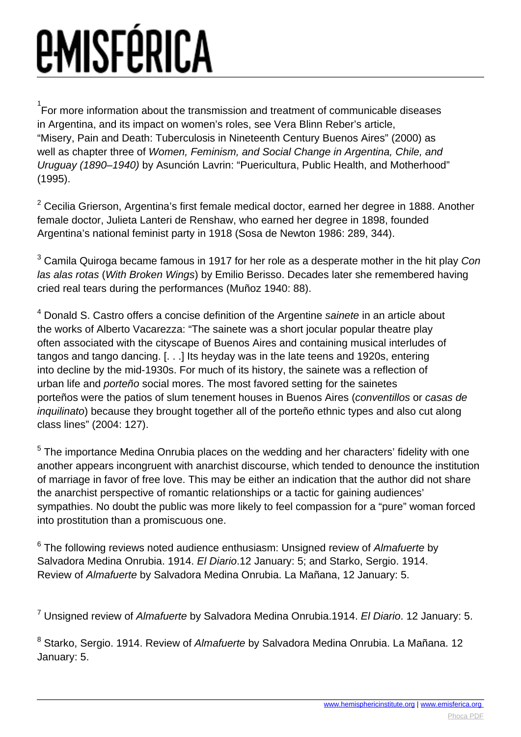$^{1}$ For more information about the transmission and treatment of communicable diseases in Argentina, and its impact on women's roles, see Vera Blinn Reber's article, "Misery, Pain and Death: Tuberculosis in Nineteenth Century Buenos Aires" (2000) as well as chapter three of Women, Feminism, and Social Change in Argentina, Chile, and Uruguay (1890–1940) by Asunción Lavrin: "Puericultura, Public Health, and Motherhood" (1995).

 $2$  Cecilia Grierson, Argentina's first female medical doctor, earned her degree in 1888. Another female doctor, Julieta Lanteri de Renshaw, who earned her degree in 1898, founded Argentina's national feminist party in 1918 (Sosa de Newton 1986: 289, 344).

 $^3$  Camila Quiroga became famous in 1917 for her role as a desperate mother in the hit play *Con* las alas rotas (With Broken Wings) by Emilio Berisso. Decades later she remembered having cried real tears during the performances (Muñoz 1940: 88).

<sup>4</sup> Donald S. Castro offers a concise definition of the Argentine sainete in an article about the works of Alberto Vacarezza: "The sainete was a short jocular popular theatre play often associated with the cityscape of Buenos Aires and containing musical interludes of tangos and tango dancing. [. . .] Its heyday was in the late teens and 1920s, entering into decline by the mid-1930s. For much of its history, the sainete was a reflection of urban life and porteño social mores. The most favored setting for the sainetes porteños were the patios of slum tenement houses in Buenos Aires (conventillos or casas de inquilinato) because they brought together all of the porteño ethnic types and also cut along class lines" (2004: 127).

 $5$  The importance Medina Onrubia places on the wedding and her characters' fidelity with one another appears incongruent with anarchist discourse, which tended to denounce the institution of marriage in favor of free love. This may be either an indication that the author did not share the anarchist perspective of romantic relationships or a tactic for gaining audiences' sympathies. No doubt the public was more likely to feel compassion for a "pure" woman forced into prostitution than a promiscuous one.

 $^6$  The following reviews noted audience enthusiasm: Unsigned review of Almafuerte by Salvadora Medina Onrubia. 1914. El Diario.12 January: 5; and Starko, Sergio. 1914. Review of Almafuerte by Salvadora Medina Onrubia. La Mañana, 12 January: 5.

<sup>7</sup> Unsigned review of *Almafuerte* by Salvadora Medina Onrubia.1914. *El Diario*. 12 January: 5.

<sup>8</sup> Starko, Sergio. 1914. Review of *Almafuerte* by Salvadora Medina Onrubia. La Mañana. 12 January: 5.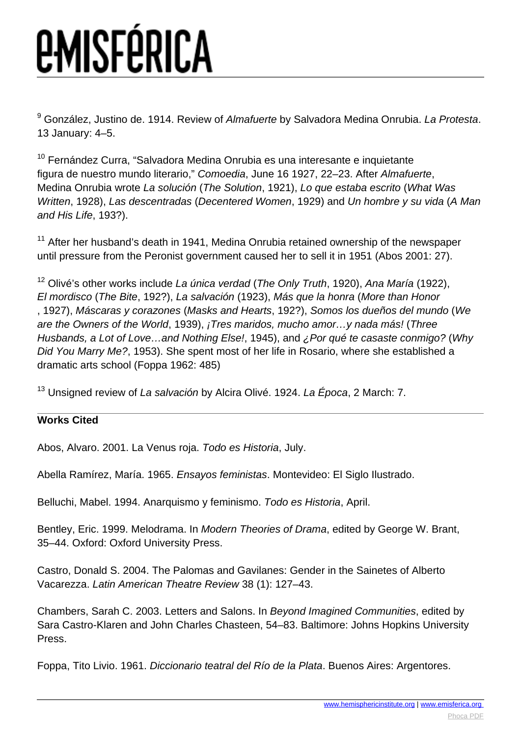<sup>9</sup> González, Justino de. 1914. Review of *Almafuerte* by Salvadora Medina Onrubia. *La Protesta*. 13 January: 4–5.

<sup>10</sup> Fernández Curra, "Salvadora Medina Onrubia es una interesante e inquietante figura de nuestro mundo literario," Comoedia, June 16 1927, 22–23. After Almafuerte, Medina Onrubia wrote La solución (The Solution, 1921), Lo que estaba escrito (What Was Written, 1928), Las descentradas (Decentered Women, 1929) and Un hombre y su vida (A Man and His Life, 193?).

 $11$  After her husband's death in 1941, Medina Onrubia retained ownership of the newspaper until pressure from the Peronist government caused her to sell it in 1951 (Abos 2001: 27).

<sup>12</sup> Olivé's other works include La única verdad (The Only Truth, 1920), Ana María (1922), El mordisco (The Bite, 192?), La salvación (1923), Más que la honra (More than Honor , 1927), Máscaras y corazones (Masks and Hearts, 192?), Somos los dueños del mundo (We are the Owners of the World, 1939), ¡Tres maridos, mucho amor…y nada más! (Three Husbands, a Lot of Love…and Nothing Else!, 1945), and ¿Por qué te casaste conmigo? (Why Did You Marry Me?, 1953). She spent most of her life in Rosario, where she established a dramatic arts school (Foppa 1962: 485)

<sup>13</sup> Unsigned review of La salvación by Alcira Olivé. 1924. La Época, 2 March: 7.

#### **Works Cited**

Abos, Alvaro. 2001. La Venus roja. Todo es Historia, July.

Abella Ramírez, María. 1965. Ensayos feministas. Montevideo: El Siglo Ilustrado.

Belluchi, Mabel. 1994. Anarquismo y feminismo. Todo es Historia, April.

Bentley, Eric. 1999. Melodrama. In Modern Theories of Drama, edited by George W. Brant, 35–44. Oxford: Oxford University Press.

Castro, Donald S. 2004. The Palomas and Gavilanes: Gender in the Sainetes of Alberto Vacarezza. Latin American Theatre Review 38 (1): 127–43.

Chambers, Sarah C. 2003. Letters and Salons. In Beyond Imagined Communities, edited by Sara Castro-Klaren and John Charles Chasteen, 54–83. Baltimore: Johns Hopkins University Press.

Foppa, Tito Livio. 1961. Diccionario teatral del Río de la Plata. Buenos Aires: Argentores.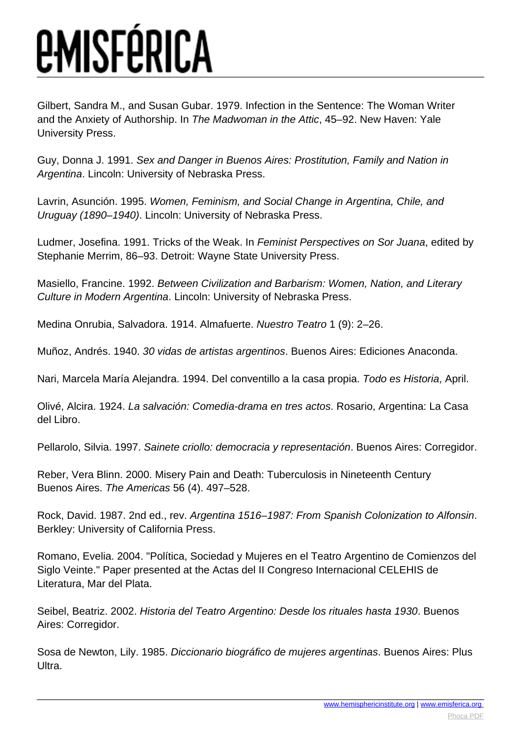Gilbert, Sandra M., and Susan Gubar. 1979. Infection in the Sentence: The Woman Writer and the Anxiety of Authorship. In The Madwoman in the Attic, 45–92. New Haven: Yale University Press.

Guy, Donna J. 1991. Sex and Danger in Buenos Aires: Prostitution, Family and Nation in Argentina. Lincoln: University of Nebraska Press.

Lavrin, Asunción. 1995. Women, Feminism, and Social Change in Argentina, Chile, and Uruguay (1890–1940). Lincoln: University of Nebraska Press.

Ludmer, Josefina. 1991. Tricks of the Weak. In Feminist Perspectives on Sor Juana, edited by Stephanie Merrim, 86–93. Detroit: Wayne State University Press.

Masiello, Francine. 1992. Between Civilization and Barbarism: Women, Nation, and Literary Culture in Modern Argentina. Lincoln: University of Nebraska Press.

Medina Onrubia, Salvadora. 1914. Almafuerte. Nuestro Teatro 1 (9): 2–26.

Muñoz, Andrés. 1940. 30 vidas de artistas argentinos. Buenos Aires: Ediciones Anaconda.

Nari, Marcela María Alejandra. 1994. Del conventillo a la casa propia. Todo es Historia, April.

Olivé, Alcira. 1924. La salvación: Comedia-drama en tres actos. Rosario, Argentina: La Casa del Libro.

Pellarolo, Silvia. 1997. Sainete criollo: democracia y representación. Buenos Aires: Corregidor.

Reber, Vera Blinn. 2000. Misery Pain and Death: Tuberculosis in Nineteenth Century Buenos Aires. The Americas 56 (4). 497–528.

Rock, David. 1987. 2nd ed., rev. Argentina 1516–1987: From Spanish Colonization to Alfonsin. Berkley: University of California Press.

Romano, Evelia. 2004. "Política, Sociedad y Mujeres en el Teatro Argentino de Comienzos del Siglo Veinte." Paper presented at the Actas del II Congreso Internacional CELEHIS de Literatura, Mar del Plata.

Seibel, Beatriz. 2002. Historia del Teatro Argentino: Desde los rituales hasta 1930. Buenos Aires: Corregidor.

Sosa de Newton, Lily. 1985. Diccionario biográfico de mujeres argentinas. Buenos Aires: Plus Ultra.